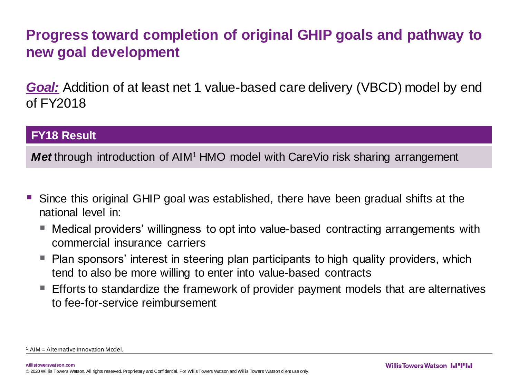## **Progress toward completion of original GHIP goals and pathway to new goal development**

*Goal:* Addition of at least net 1 value-based care delivery (VBCD) model by end of FY2018

## **FY18 Result**

**Met** through introduction of AIM<sup>1</sup> HMO model with CareVio risk sharing arrangement

- Since this original GHIP goal was established, there have been gradual shifts at the national level in:
	- Medical providers' willingness to opt into value-based contracting arrangements with commercial insurance carriers
	- Plan sponsors' interest in steering plan participants to high quality providers, which tend to also be more willing to enter into value-based contracts
	- $\blacksquare$  Efforts to standardize the framework of provider payment models that are alternatives to fee-for-service reimbursement

 $1$  AIM = Alternative Innovation Model.